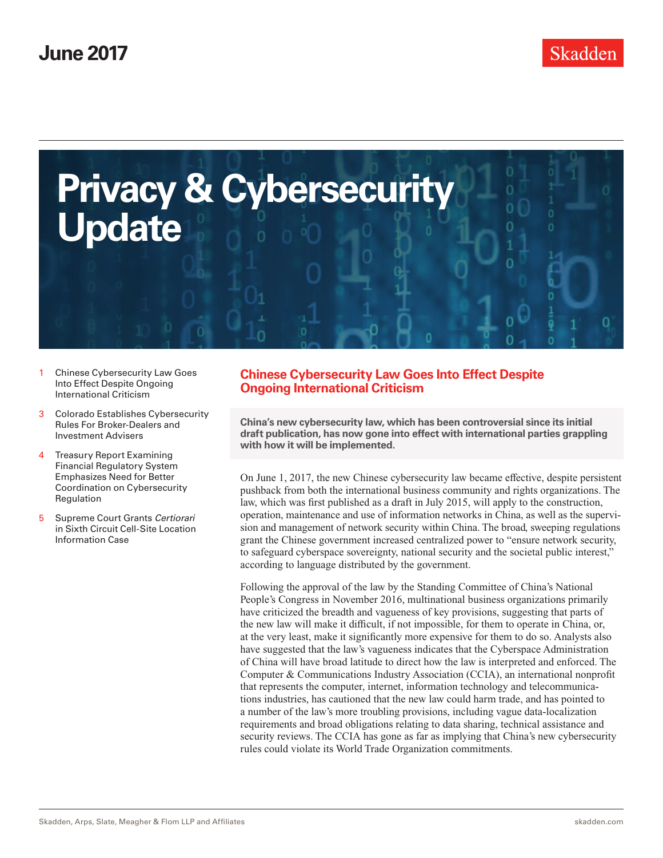<span id="page-0-0"></span>

- 1 Chinese Cybersecurity Law Goes Into Effect Despite Ongoing International Criticism
- 3 [Colorado Establishes Cybersecurity](#page-2-0)  [Rules For Broker-Dealers and](#page-2-0)  [Investment Advisers](#page-2-0)
- **Treasury Report Examining** [Financial Regulatory System](#page-3-0)  [Emphasizes Need for Better](#page-3-0)  [Coordination on Cybersecurity](#page-3-0)  [Regulation](#page-3-0)
- 5 [Supreme Court Grants](#page-4-0) *Certiorari* [in Sixth Circuit Cell-Site Location](#page-4-0)  [Information Case](#page-4-0)

# **Chinese Cybersecurity Law Goes Into Effect Despite Ongoing International Criticism**

**China's new cybersecurity law, which has been controversial since its initial draft publication, has now gone into effect with international parties grappling with how it will be implemented.**

On June 1, 2017, the new Chinese cybersecurity law became effective, despite persistent pushback from both the international business community and rights organizations. The law, which was first published as a draft in July 2015, will apply to the construction, operation, maintenance and use of information networks in China, as well as the supervision and management of network security within China. The broad, sweeping regulations grant the Chinese government increased centralized power to "ensure network security, to safeguard cyberspace sovereignty, national security and the societal public interest," according to language distributed by the government.

Following the approval of the law by the Standing Committee of China's National People's Congress in November 2016, multinational business organizations primarily have criticized the breadth and vagueness of key provisions, suggesting that parts of the new law will make it difficult, if not impossible, for them to operate in China, or, at the very least, make it significantly more expensive for them to do so. Analysts also have suggested that the law's vagueness indicates that the Cyberspace Administration of China will have broad latitude to direct how the law is interpreted and enforced. The Computer & Communications Industry Association (CCIA), an international nonprofit that represents the computer, internet, information technology and telecommunications industries, has cautioned that the new law could harm trade, and has pointed to a number of the law's more troubling provisions, including vague data-localization requirements and broad obligations relating to data sharing, technical assistance and security reviews. The CCIA has gone as far as implying that China's new cybersecurity rules could violate its World Trade Organization commitments.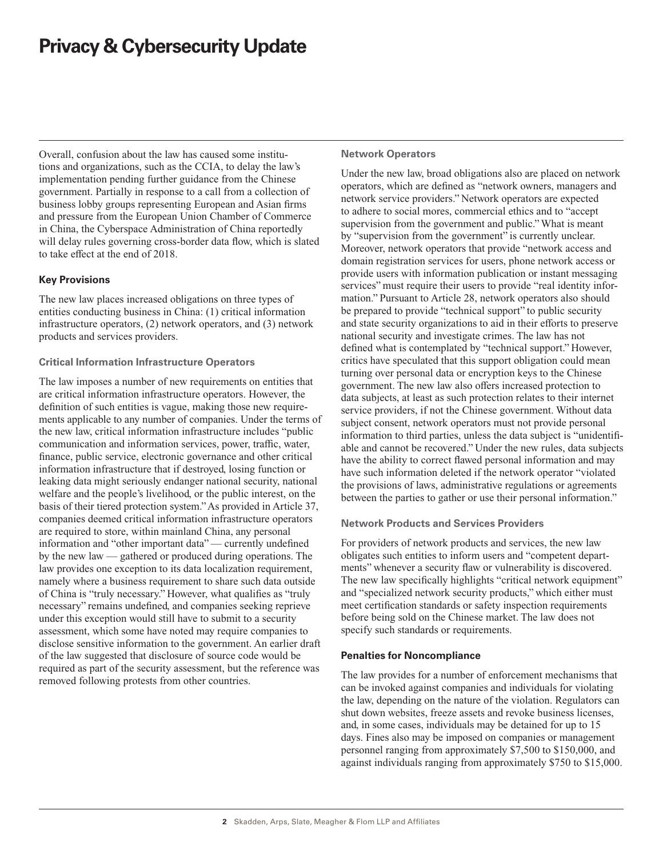Overall, confusion about the law has caused some institutions and organizations, such as the CCIA, to delay the law's implementation pending further guidance from the Chinese government. Partially in response to a call from a collection of business lobby groups representing European and Asian firms and pressure from the European Union Chamber of Commerce in China, the Cyberspace Administration of China reportedly will delay rules governing cross-border data flow, which is slated to take effect at the end of 2018.

## **Key Provisions**

The new law places increased obligations on three types of entities conducting business in China: (1) critical information infrastructure operators, (2) network operators, and (3) network products and services providers.

### **Critical Information Infrastructure Operators**

The law imposes a number of new requirements on entities that are critical information infrastructure operators. However, the definition of such entities is vague, making those new requirements applicable to any number of companies. Under the terms of the new law, critical information infrastructure includes "public communication and information services, power, traffic, water, finance, public service, electronic governance and other critical information infrastructure that if destroyed, losing function or leaking data might seriously endanger national security, national welfare and the people's livelihood, or the public interest, on the basis of their tiered protection system." As provided in Article 37, companies deemed critical information infrastructure operators are required to store, within mainland China, any personal information and "other important data" — currently undefined by the new law — gathered or produced during operations. The law provides one exception to its data localization requirement, namely where a business requirement to share such data outside of China is "truly necessary." However, what qualifies as "truly necessary" remains undefined, and companies seeking reprieve under this exception would still have to submit to a security assessment, which some have noted may require companies to disclose sensitive information to the government. An earlier draft of the law suggested that disclosure of source code would be required as part of the security assessment, but the reference was removed following protests from other countries.

#### **Network Operators**

Under the new law, broad obligations also are placed on network operators, which are defined as "network owners, managers and network service providers." Network operators are expected to adhere to social mores, commercial ethics and to "accept supervision from the government and public." What is meant by "supervision from the government" is currently unclear. Moreover, network operators that provide "network access and domain registration services for users, phone network access or provide users with information publication or instant messaging services" must require their users to provide "real identity information." Pursuant to Article 28, network operators also should be prepared to provide "technical support" to public security and state security organizations to aid in their efforts to preserve national security and investigate crimes. The law has not defined what is contemplated by "technical support." However, critics have speculated that this support obligation could mean turning over personal data or encryption keys to the Chinese government. The new law also offers increased protection to data subjects, at least as such protection relates to their internet service providers, if not the Chinese government. Without data subject consent, network operators must not provide personal information to third parties, unless the data subject is "unidentifiable and cannot be recovered." Under the new rules, data subjects have the ability to correct flawed personal information and may have such information deleted if the network operator "violated the provisions of laws, administrative regulations or agreements between the parties to gather or use their personal information."

### **Network Products and Services Providers**

For providers of network products and services, the new law obligates such entities to inform users and "competent departments" whenever a security flaw or vulnerability is discovered. The new law specifically highlights "critical network equipment" and "specialized network security products," which either must meet certification standards or safety inspection requirements before being sold on the Chinese market. The law does not specify such standards or requirements.

### **Penalties for Noncompliance**

The law provides for a number of enforcement mechanisms that can be invoked against companies and individuals for violating the law, depending on the nature of the violation. Regulators can shut down websites, freeze assets and revoke business licenses, and, in some cases, individuals may be detained for up to 15 days. Fines also may be imposed on companies or management personnel ranging from approximately \$7,500 to \$150,000, and against individuals ranging from approximately \$750 to \$15,000.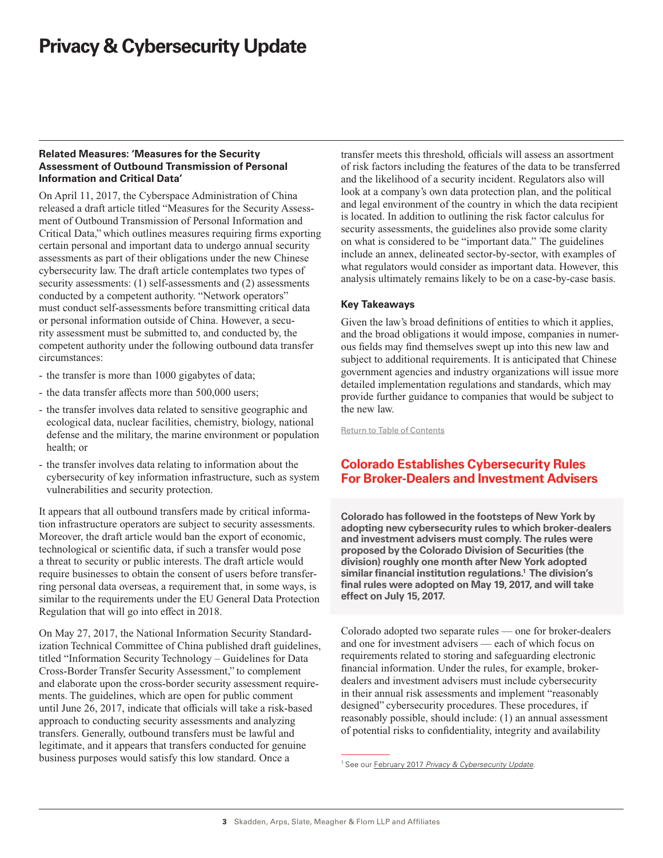### <span id="page-2-0"></span>**Related Measures: 'Measures for the Security Assessment of Outbound Transmission of Personal Information and Critical Data'**

On April 11, 2017, the Cyberspace Administration of China released a draft article titled "Measures for the Security Assessment of Outbound Transmission of Personal Information and Critical Data," which outlines measures requiring firms exporting certain personal and important data to undergo annual security assessments as part of their obligations under the new Chinese cybersecurity law. The draft article contemplates two types of security assessments: (1) self-assessments and (2) assessments conducted by a competent authority. "Network operators" must conduct self-assessments before transmitting critical data or personal information outside of China. However, a security assessment must be submitted to, and conducted by, the competent authority under the following outbound data transfer circumstances:

- the transfer is more than 1000 gigabytes of data;
- the data transfer affects more than 500,000 users;
- the transfer involves data related to sensitive geographic and ecological data, nuclear facilities, chemistry, biology, national defense and the military, the marine environment or population health; or
- the transfer involves data relating to information about the cybersecurity of key information infrastructure, such as system vulnerabilities and security protection.

It appears that all outbound transfers made by critical information infrastructure operators are subject to security assessments. Moreover, the draft article would ban the export of economic, technological or scientific data, if such a transfer would pose a threat to security or public interests. The draft article would require businesses to obtain the consent of users before transferring personal data overseas, a requirement that, in some ways, is similar to the requirements under the EU General Data Protection Regulation that will go into effect in 2018.

On May 27, 2017, the National Information Security Standardization Technical Committee of China published draft guidelines, titled "Information Security Technology – Guidelines for Data Cross-Border Transfer Security Assessment," to complement and elaborate upon the cross-border security assessment requirements. The guidelines, which are open for public comment until June 26, 2017, indicate that officials will take a risk-based approach to conducting security assessments and analyzing transfers. Generally, outbound transfers must be lawful and legitimate, and it appears that transfers conducted for genuine business purposes would satisfy this low standard. Once a

transfer meets this threshold, officials will assess an assortment of risk factors including the features of the data to be transferred and the likelihood of a security incident. Regulators also will look at a company's own data protection plan, and the political and legal environment of the country in which the data recipient is located. In addition to outlining the risk factor calculus for security assessments, the guidelines also provide some clarity on what is considered to be "important data." The guidelines include an annex, delineated sector-by-sector, with examples of what regulators would consider as important data. However, this analysis ultimately remains likely to be on a case-by-case basis.

## **Key Takeaways**

Given the law's broad definitions of entities to which it applies, and the broad obligations it would impose, companies in numerous fields may find themselves swept up into this new law and subject to additional requirements. It is anticipated that Chinese government agencies and industry organizations will issue more detailed implementation regulations and standards, which may provide further guidance to companies that would be subject to the new law.

[Return to Table of Contents](#page-0-0)

# **Colorado Establishes Cybersecurity Rules For Broker-Dealers and Investment Advisers**

**Colorado has followed in the footsteps of New York by adopting new cybersecurity rules to which broker-dealers and investment advisers must comply. The rules were proposed by the Colorado Division of Securities (the division) roughly one month after New York adopted similar financial institution regulations.1 The division's final rules were adopted on May 19, 2017, and will take effect on July 15, 2017.** 

Colorado adopted two separate rules — one for broker-dealers and one for investment advisers — each of which focus on requirements related to storing and safeguarding electronic financial information. Under the rules, for example, brokerdealers and investment advisers must include cybersecurity in their annual risk assessments and implement "reasonably designed" cybersecurity procedures. These procedures, if reasonably possible, should include: (1) an annual assessment of potential risks to confidentiality, integrity and availability

<sup>1</sup> See our February 2017 *[Privacy & Cybersecurity Update](https://www.skadden.com/-/media/files/publications/2017/02/privacy_and_cybsersecurity_update_february_2017.pdf)*.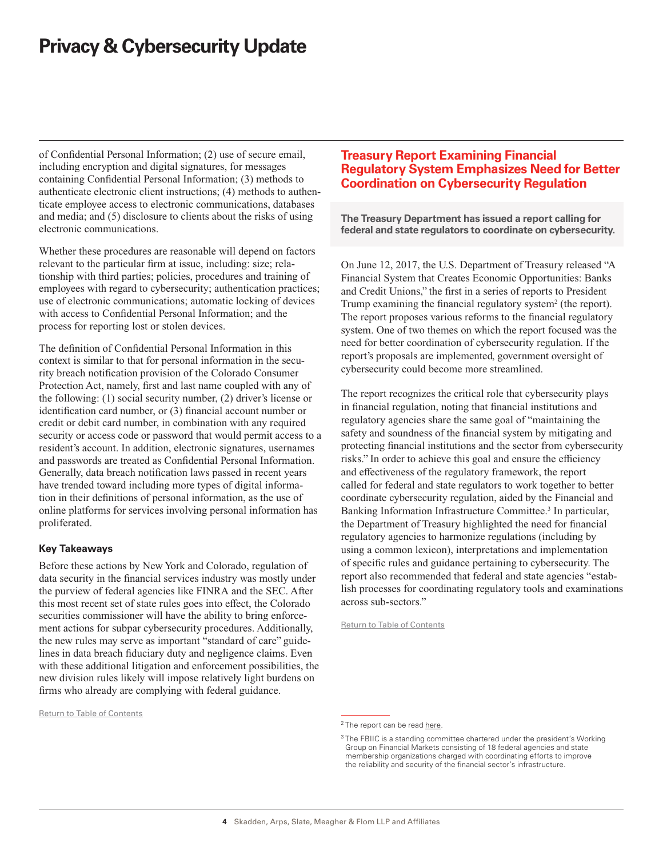<span id="page-3-0"></span>of Confidential Personal Information; (2) use of secure email, including encryption and digital signatures, for messages containing Confidential Personal Information; (3) methods to authenticate electronic client instructions; (4) methods to authenticate employee access to electronic communications, databases and media; and (5) disclosure to clients about the risks of using electronic communications.

Whether these procedures are reasonable will depend on factors relevant to the particular firm at issue, including: size; relationship with third parties; policies, procedures and training of employees with regard to cybersecurity; authentication practices; use of electronic communications; automatic locking of devices with access to Confidential Personal Information; and the process for reporting lost or stolen devices.

The definition of Confidential Personal Information in this context is similar to that for personal information in the security breach notification provision of the Colorado Consumer Protection Act, namely, first and last name coupled with any of the following: (1) social security number, (2) driver's license or identification card number, or (3) financial account number or credit or debit card number, in combination with any required security or access code or password that would permit access to a resident's account. In addition, electronic signatures, usernames and passwords are treated as Confidential Personal Information. Generally, data breach notification laws passed in recent years have trended toward including more types of digital information in their definitions of personal information, as the use of online platforms for services involving personal information has proliferated.

### **Key Takeaways**

Before these actions by New York and Colorado, regulation of data security in the financial services industry was mostly under the purview of federal agencies like FINRA and the SEC. After this most recent set of state rules goes into effect, the Colorado securities commissioner will have the ability to bring enforcement actions for subpar cybersecurity procedures. Additionally, the new rules may serve as important "standard of care" guidelines in data breach fiduciary duty and negligence claims. Even with these additional litigation and enforcement possibilities, the new division rules likely will impose relatively light burdens on firms who already are complying with federal guidance.

[Return to Table of Contents](#page-0-0)

# **Treasury Report Examining Financial Regulatory System Emphasizes Need for Better Coordination on Cybersecurity Regulation**

**The Treasury Department has issued a report calling for federal and state regulators to coordinate on cybersecurity.**

On June 12, 2017, the U.S. Department of Treasury released "A Financial System that Creates Economic Opportunities: Banks and Credit Unions," the first in a series of reports to President Trump examining the financial regulatory system<sup>2</sup> (the report). The report proposes various reforms to the financial regulatory system. One of two themes on which the report focused was the need for better coordination of cybersecurity regulation. If the report's proposals are implemented, government oversight of cybersecurity could become more streamlined.

The report recognizes the critical role that cybersecurity plays in financial regulation, noting that financial institutions and regulatory agencies share the same goal of "maintaining the safety and soundness of the financial system by mitigating and protecting financial institutions and the sector from cybersecurity risks." In order to achieve this goal and ensure the efficiency and effectiveness of the regulatory framework, the report called for federal and state regulators to work together to better coordinate cybersecurity regulation, aided by the Financial and Banking Information Infrastructure Committee.<sup>3</sup> In particular, the Department of Treasury highlighted the need for financial regulatory agencies to harmonize regulations (including by using a common lexicon), interpretations and implementation of specific rules and guidance pertaining to cybersecurity. The report also recommended that federal and state agencies "establish processes for coordinating regulatory tools and examinations across sub-sectors."

[Return to Table of Contents](#page-0-0)

 $2$  The report can be read [here](https://www.treasury.gov/press-center/press-releases/Documents/A Financial System.pdf).

<sup>3</sup> The FBIIC is a standing committee chartered under the president's Working Group on Financial Markets consisting of 18 federal agencies and state membership organizations charged with coordinating efforts to improve the reliability and security of the financial sector's infrastructure.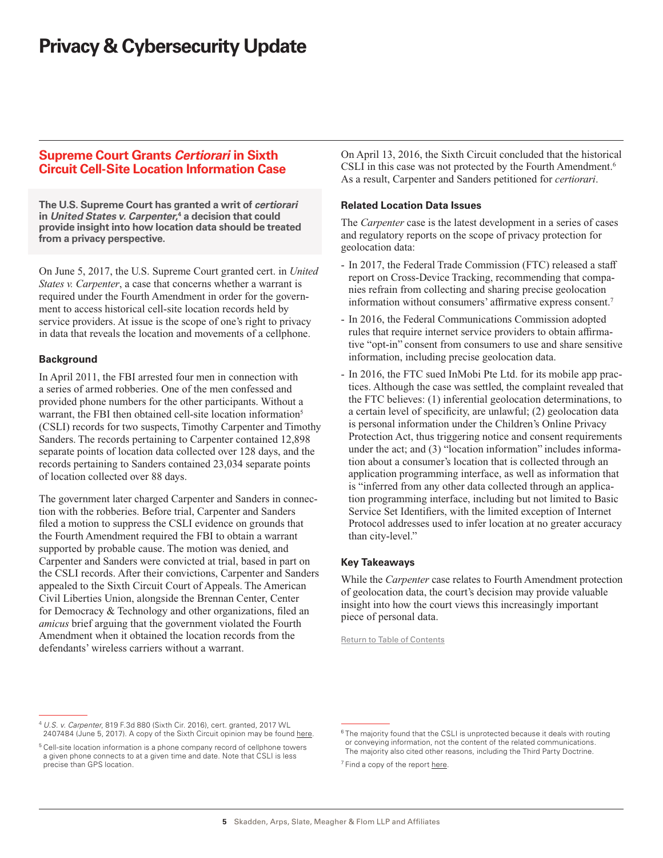## <span id="page-4-0"></span>**Supreme Court Grants** *Certiorari* **in Sixth Circuit Cell-Site Location Information Case**

**The U.S. Supreme Court has granted a writ of** *certiorari* **in** *United States v. Carpenter***, 4 a decision that could provide insight into how location data should be treated from a privacy perspective.**

On June 5, 2017, the U.S. Supreme Court granted cert. in *United States v. Carpenter*, a case that concerns whether a warrant is required under the Fourth Amendment in order for the government to access historical cell-site location records held by service providers. At issue is the scope of one's right to privacy in data that reveals the location and movements of a cellphone.

## **Background**

In April 2011, the FBI arrested four men in connection with a series of armed robberies. One of the men confessed and provided phone numbers for the other participants. Without a warrant, the FBI then obtained cell-site location information<sup>5</sup> (CSLI) records for two suspects, Timothy Carpenter and Timothy Sanders. The records pertaining to Carpenter contained 12,898 separate points of location data collected over 128 days, and the records pertaining to Sanders contained 23,034 separate points of location collected over 88 days.

The government later charged Carpenter and Sanders in connection with the robberies. Before trial, Carpenter and Sanders filed a motion to suppress the CSLI evidence on grounds that the Fourth Amendment required the FBI to obtain a warrant supported by probable cause. The motion was denied, and Carpenter and Sanders were convicted at trial, based in part on the CSLI records. After their convictions, Carpenter and Sanders appealed to the Sixth Circuit Court of Appeals. The American Civil Liberties Union, alongside the Brennan Center, Center for Democracy & Technology and other organizations, filed an *amicus* brief arguing that the government violated the Fourth Amendment when it obtained the location records from the defendants' wireless carriers without a warrant.

On April 13, 2016, the Sixth Circuit concluded that the historical CSLI in this case was not protected by the Fourth Amendment.<sup>6</sup> As a result, Carpenter and Sanders petitioned for *certiorari*.

## **Related Location Data Issues**

The *Carpenter* case is the latest development in a series of cases and regulatory reports on the scope of privacy protection for geolocation data:

- In 2017, the Federal Trade Commission (FTC) released a staff report on Cross-Device Tracking, recommending that companies refrain from collecting and sharing precise geolocation information without consumers' affirmative express consent.7
- In 2016, the Federal Communications Commission adopted rules that require internet service providers to obtain affirmative "opt-in" consent from consumers to use and share sensitive information, including precise geolocation data.
- In 2016, the FTC sued InMobi Pte Ltd. for its mobile app practices. Although the case was settled, the complaint revealed that the FTC believes: (1) inferential geolocation determinations, to a certain level of specificity, are unlawful; (2) geolocation data is personal information under the Children's Online Privacy Protection Act, thus triggering notice and consent requirements under the act; and (3) "location information" includes information about a consumer's location that is collected through an application programming interface, as well as information that is "inferred from any other data collected through an application programming interface, including but not limited to Basic Service Set Identifiers, with the limited exception of Internet Protocol addresses used to infer location at no greater accuracy than city-level."

### **Key Takeaways**

While the *Carpenter* case relates to Fourth Amendment protection of geolocation data, the court's decision may provide valuable insight into how the court views this increasingly important piece of personal data.

[Return to Table of Contents](#page-0-0)

<sup>4</sup> *U.S. v. Carpenter*, 819 F.3d 880 (Sixth Cir. 2016), cert. granted, 2017 WL 2407484 (June 5, 2017). A copy of the Sixth Circuit opinion may be found [here](https://www.aclu.org/sites/default/files/field_document/govt_6th_cir_brief.pdf).

<sup>&</sup>lt;sup>5</sup> Cell-site location information is a phone company record of cellphone towers a given phone connects to at a given time and date. Note that CSLI is less precise than GPS location.

<sup>&</sup>lt;sup>6</sup> The majority found that the CSLI is unprotected because it deals with routing or conveying information, not the content of the related communications. The majority also cited other reasons, including the Third Party Doctrine.

<sup>&</sup>lt;sup>7</sup> Find a copy of the report [here.](https://www.ftc.gov/system/files/documents/reports/cross-device-tracking-federal-trade-commission-staff-report-january-2017/ftc_cross-device_tracking_report_1-23-17.pdf)